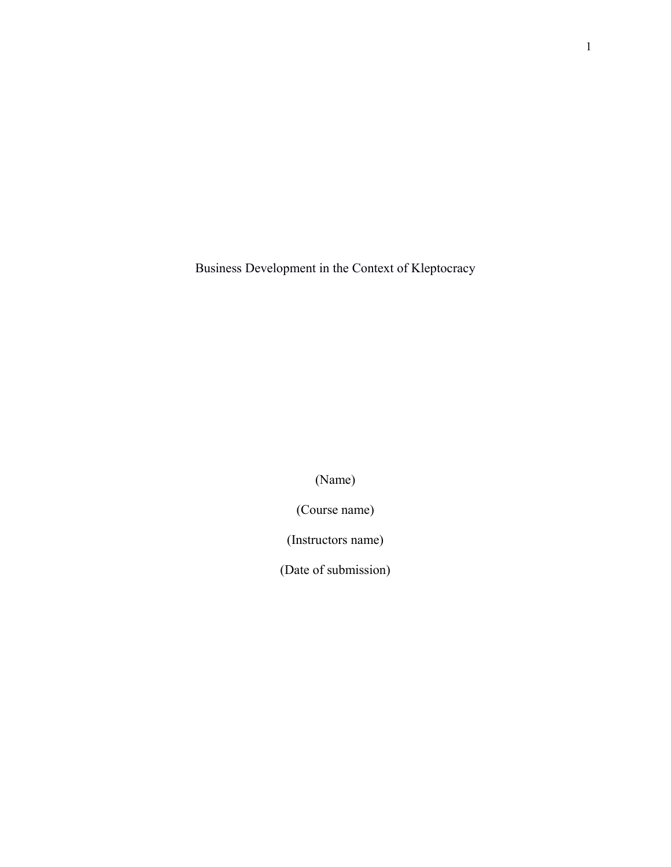Business Development in the Context of Kleptocracy

(Name)

(Course name)

(Instructors name)

(Date of submission)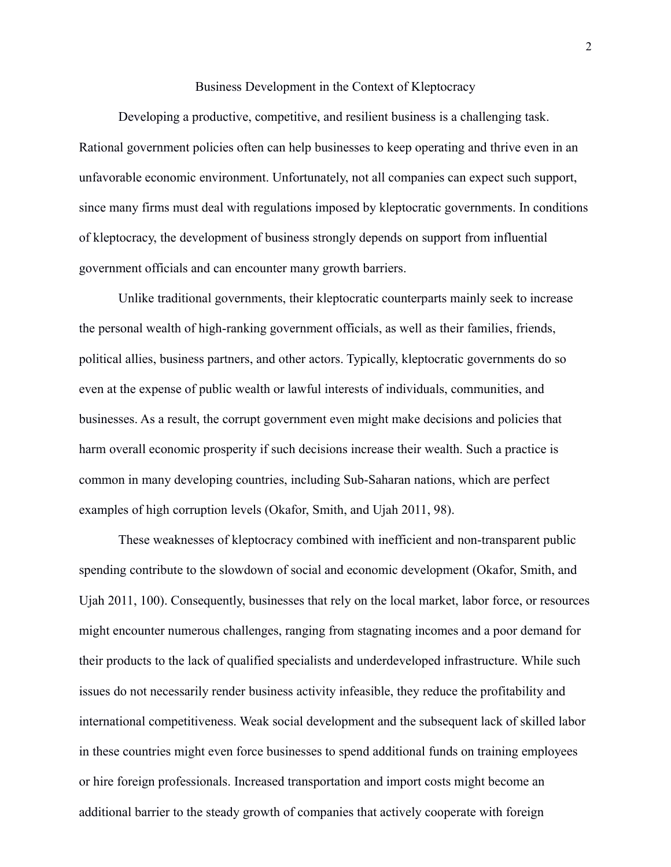## Business Development in the Context of Kleptocracy

Developing a productive, competitive, and resilient business is a challenging task. Rational government policies often can help businesses to keep operating and thrive even in an unfavorable economic environment. Unfortunately, not all companies can expect such support, since many firms must deal with regulations imposed by kleptocratic governments. In conditions of kleptocracy, the development of business strongly depends on support from influential government officials and can encounter many growth barriers.

Unlike traditional governments, their kleptocratic counterparts mainly seek to increase the personal wealth of high-ranking government officials, as well as their families, friends, political allies, business partners, and other actors. Typically, kleptocratic governments do so even at the expense of public wealth or lawful interests of individuals, communities, and businesses. As a result, the corrupt government even might make decisions and policies that harm overall economic prosperity if such decisions increase their wealth. Such a practice is common in many developing countries, including Sub-Saharan nations, which are perfect examples of high corruption levels (Okafor, Smith, and Ujah 2011, 98).

These weaknesses of kleptocracy combined with inefficient and non-transparent public spending contribute to the slowdown of social and economic development (Okafor, Smith, and Ujah 2011, 100). Consequently, businesses that rely on the local market, labor force, or resources might encounter numerous challenges, ranging from stagnating incomes and a poor demand for their products to the lack of qualified specialists and underdeveloped infrastructure. While such issues do not necessarily render business activity infeasible, they reduce the profitability and international competitiveness. Weak social development and the subsequent lack of skilled labor in these countries might even force businesses to spend additional funds on training employees or hire foreign professionals. Increased transportation and import costs might become an additional barrier to the steady growth of companies that actively cooperate with foreign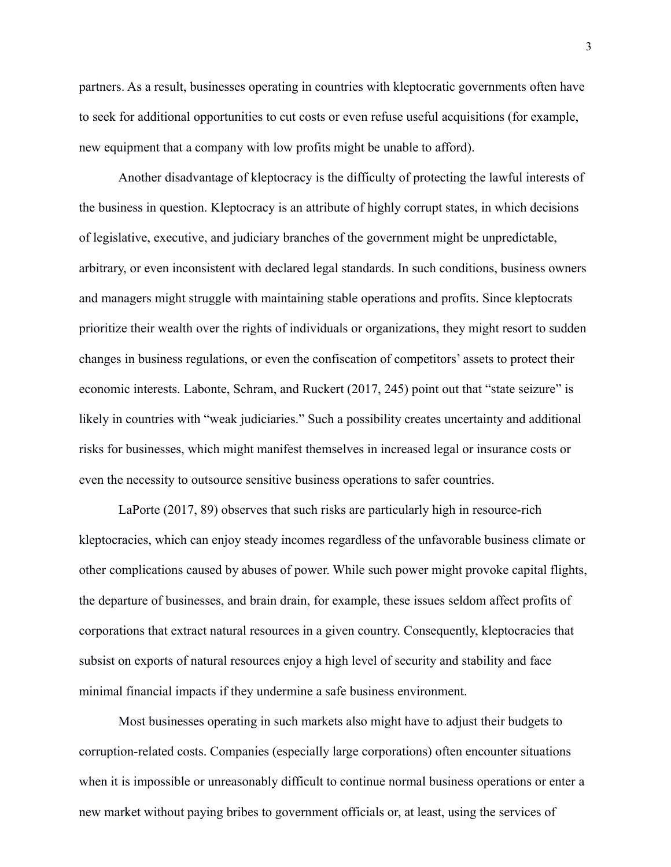partners. As a result, businesses operating in countries with kleptocratic governments often have to seek for additional opportunities to cut costs or even refuse useful acquisitions (for example, new equipment that a company with low profits might be unable to afford).

Another disadvantage of kleptocracy is the difficulty of protecting the lawful interests of the business in question. Kleptocracy is an attribute of highly corrupt states, in which decisions of legislative, executive, and judiciary branches of the government might be unpredictable, arbitrary, or even inconsistent with declared legal standards. In such conditions, business owners and managers might struggle with maintaining stable operations and profits. Since kleptocrats prioritize their wealth over the rights of individuals or organizations, they might resort to sudden changes in business regulations, or even the confiscation of competitors' assets to protect their economic interests. Labonte, Schram, and Ruckert (2017, 245) point out that "state seizure" is likely in countries with "weak judiciaries." Such a possibility creates uncertainty and additional risks for businesses, which might manifest themselves in increased legal or insurance costs or even the necessity to outsource sensitive business operations to safer countries.

LaPorte (2017, 89) observes that such risks are particularly high in resource-rich kleptocracies, which can enjoy steady incomes regardless of the unfavorable business climate or other complications caused by abuses of power. While such power might provoke capital flights, the departure of businesses, and brain drain, for example, these issues seldom affect profits of corporations that extract natural resources in a given country. Consequently, kleptocracies that subsist on exports of natural resources enjoy a high level of security and stability and face minimal financial impacts if they undermine a safe business environment.

Most businesses operating in such markets also might have to adjust their budgets to corruption-related costs. Companies (especially large corporations) often encounter situations when it is impossible or unreasonably difficult to continue normal business operations or enter a new market without paying bribes to government officials or, at least, using the services of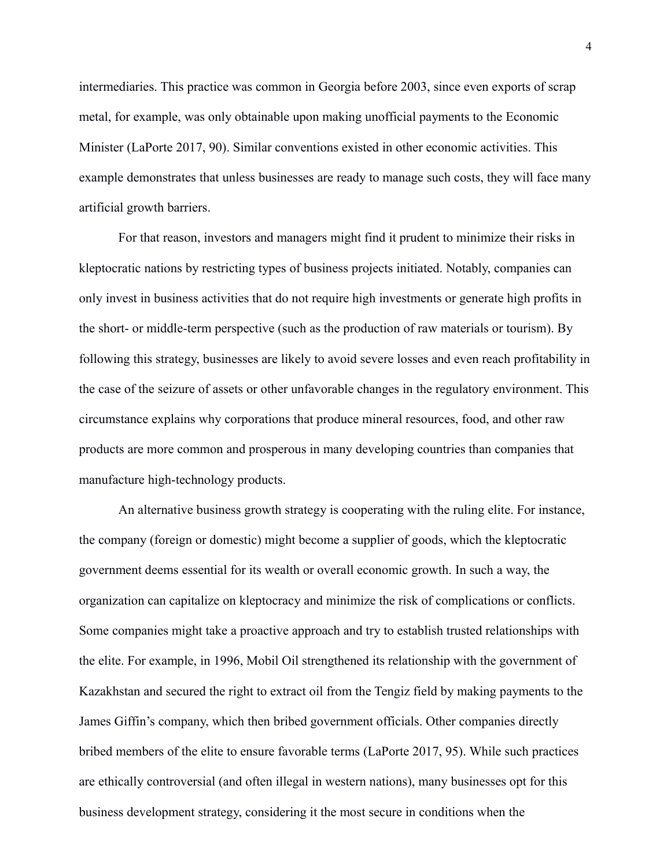intermediaries. This practice was common in Georgia before 2003, since even exports of scrap metal, for example, was only obtainable upon making unofficial payments to the Economic Minister (LaPorte 2017, 90). Similar conventions existed in other economic activities. This example demonstrates that unless businesses are ready to manage such costs, they will face many artificial growth barriers.

For that reason, investors and managers might find it prudent to minimize their risks in kleptocratic nations by restricting types of business projects initiated. Notably, companies can only invest in business activities that do not require high investments or generate high profits in the short- or middle-term perspective (such as the production of raw materials or tourism). By following this strategy, businesses are likely to avoid severe losses and even reach profitability in the case of the seizure of assets or other unfavorable changes in the regulatory environment. This circumstance explains why corporations that produce mineral resources, food, and other raw products are more common and prosperous in many developing countries than companies that manufacture high-technology products.

An alternative business growth strategy is cooperating with the ruling elite. For instance, the company (foreign or domestic) might become a supplier of goods, which the kleptocratic government deems essential for its wealth or overall economic growth. In such a way, the organization can capitalize on kleptocracy and minimize the risk of complications or conflicts. Some companies might take a proactive approach and try to establish trusted relationships with the elite. For example, in 1996, Mobil Oil strengthened its relationship with the government of Kazakhstan and secured the right to extract oil from the Tengiz field by making payments to the James Giffin's company, which then bribed government officials. Other companies directly bribed members of the elite to ensure favorable terms (LaPorte 2017, 95). While such practices are ethically controversial (and often illegal in western nations), many businesses opt for this business development strategy, considering it the most secure in conditions when the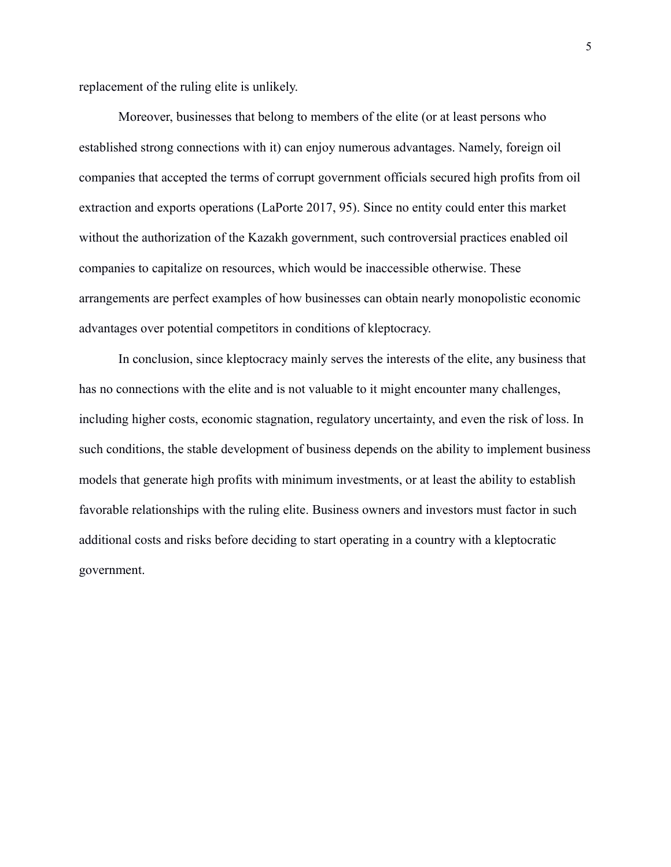replacement of the ruling elite is unlikely.

Moreover, businesses that belong to members of the elite (or at least persons who established strong connections with it) can enjoy numerous advantages. Namely, foreign oil companies that accepted the terms of corrupt government officials secured high profits from oil extraction and exports operations (LaPorte 2017, 95). Since no entity could enter this market without the authorization of the Kazakh government, such controversial practices enabled oil companies to capitalize on resources, which would be inaccessible otherwise. These arrangements are perfect examples of how businesses can obtain nearly monopolistic economic advantages over potential competitors in conditions of kleptocracy.

In conclusion, since kleptocracy mainly serves the interests of the elite, any business that has no connections with the elite and is not valuable to it might encounter many challenges, including higher costs, economic stagnation, regulatory uncertainty, and even the risk of loss. In such conditions, the stable development of business depends on the ability to implement business models that generate high profits with minimum investments, or at least the ability to establish favorable relationships with the ruling elite. Business owners and investors must factor in such additional costs and risks before deciding to start operating in a country with a kleptocratic government.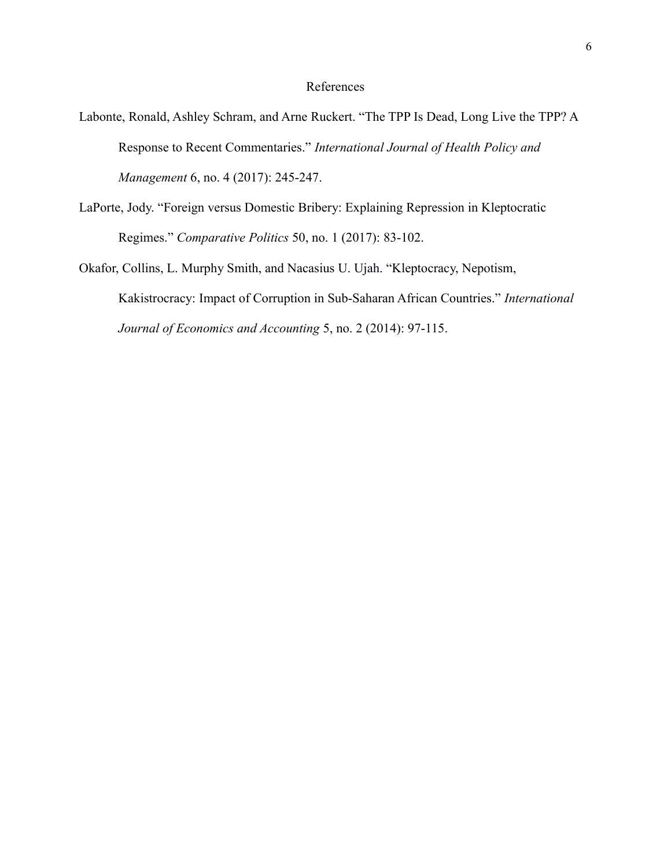## References

- Labonte, Ronald, Ashley Schram, and Arne Ruckert. "The TPP Is Dead, Long Live the TPP? A Response to Recent Commentaries." *International Journal of Health Policy and Management* 6, no. 4 (2017): 245-247.
- LaPorte, Jody. "Foreign versus Domestic Bribery: Explaining Repression in Kleptocratic Regimes." *Comparative Politics* 50, no. 1 (2017): 83-102.

Okafor, Collins, L. Murphy Smith, and Nacasius U. Ujah. "Kleptocracy, Nepotism, Kakistrocracy: Impact of Corruption in Sub-Saharan African Countries." *International Journal of Economics and Accounting* 5, no. 2 (2014): 97-115.